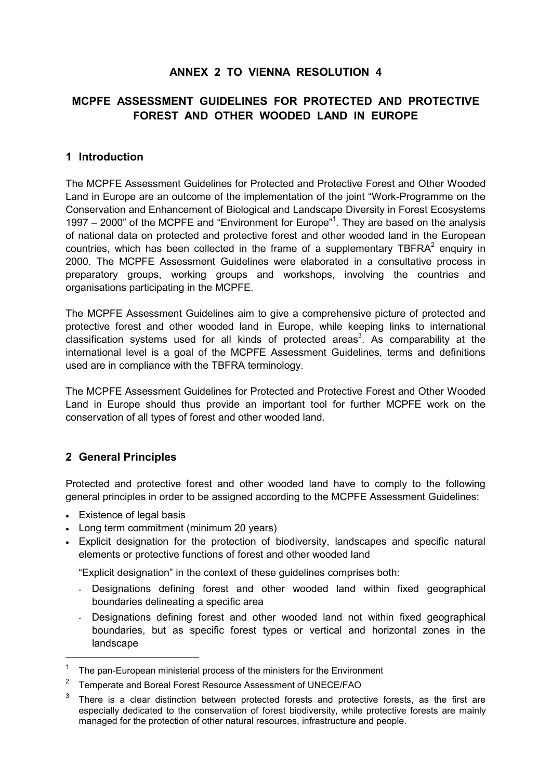## **ANNEX 2 TO VIENNA RESOLUTION 4**

### **MCPFE ASSESSMENT GUIDELINES FOR PROTECTED AND PROTECTIVE FOREST AND OTHER WOODED LAND IN EUROPE**

#### **1 Introduction**

The MCPFE Assessment Guidelines for Protected and Protective Forest and Other Wooded Land in Europe are an outcome of the implementation of the joint "Work-Programme on the Conservation and Enhancement of Biological and Landscape Diversity in Forest Ecosystems [1](#page-0-0)997 – 2000" of the MCPFE and "Environment for Europe"<sup>1</sup>. They are based on the analysis of national data on protected and protective forest and other wooded land in the European countries,which has been collected in the frame of a supplementary TBFRA<sup>2</sup> enquiry in 2000. The MCPFE Assessment Guidelines were elaborated in a consultative process in preparatory groups, working groups and workshops, involving the countries and organisations participating in the MCPFE.

The MCPFE Assessment Guidelines aim to give a comprehensive picture of protected and protective forest and other wooded land in Europe, while keeping links to international classification systems used for all kinds of protected areas<sup>[3](#page-0-2)</sup>. As comparability at the international level is a goal of the MCPFE Assessment Guidelines, terms and definitions used are in compliance with the TBFRA terminology.

The MCPFE Assessment Guidelines for Protected and Protective Forest and Other Wooded Land in Europe should thus provide an important tool for further MCPFE work on the conservation of all types of forest and other wooded land.

### **2 General Principles**

Protected and protective forest and other wooded land have to comply to the following general principles in order to be assigned according to the MCPFE Assessment Guidelines:

Existence of legal basis

 $\overline{a}$ 

- Long term commitment (minimum 20 years)
- Explicit designation for the protection of biodiversity, landscapes and specific natural elements or protective functions of forest and other wooded land

ìExplicit designationî in the context of these guidelines comprises both:

- Designations defining forest and other wooded land within fixed geographical boundaries delineating a specific area
- Designations defining forest and other wooded land not within fixed geographical boundaries, but as specific forest types or vertical and horizontal zones in the landscape

<span id="page-0-0"></span>The pan-European ministerial process of the ministers for the Environment

<span id="page-0-1"></span><sup>&</sup>lt;sup>2</sup> Temperate and Boreal Forest Resource Assessment of UNECE/FAO

<span id="page-0-2"></span>There is a clear distinction between protected forests and protective forests, as the first are especially dedicated to the conservation of forest biodiversity, while protective forests are mainly managed for the protection of other natural resources, infrastructure and people.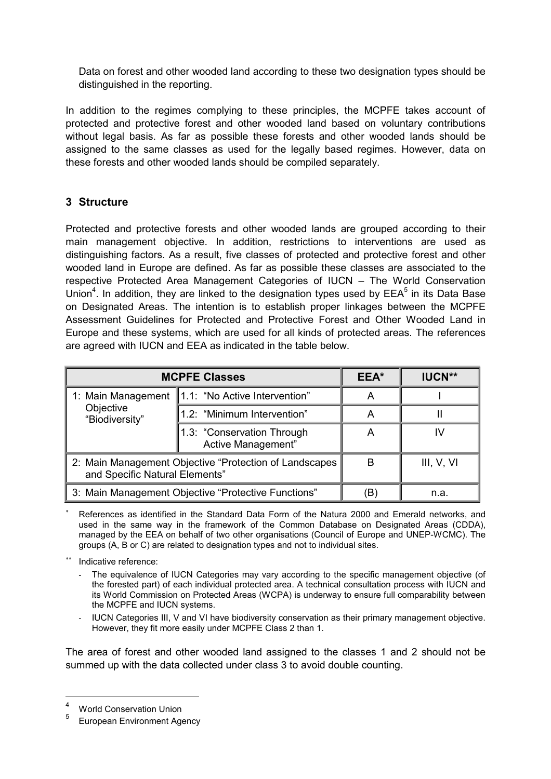Data on forest and other wooded land according to these two designation types should be distinguished in the reporting.

In addition to the regimes complying to these principles, the MCPFE takes account of protected and protective forest and other wooded land based on voluntary contributions without legal basis. As far as possible these forests and other wooded lands should be assigned to the same classes as used for the legally based regimes. However, data on these forests and other wooded lands should be compiled separately.

## **3 Structure**

Protected and protective forests and other wooded lands are grouped according to their main management objective. In addition, restrictions to interventions are used as distinguishing factors. As a result, five classes of protected and protective forest and other wooded land in Europe are defined. As far as possible these classes are associated to the respective Protected Area Management Categories of IUCN – The World Conservation Union<sup>[4](#page-1-0)</sup>. In addition, they are linked to the designation types used by  $\mathsf{EEA}^5$  $\mathsf{EEA}^5$  in its Data Base on Designated Areas. The intention is to establish proper linkages between the MCPFE Assessment Guidelines for Protected and Protective Forest and Other Wooded Land in Europe and these systems, which are used for all kinds of protected areas. The references are agreed with IUCN and EEA as indicated in the table below.

| <b>MCPFE Classes</b>                                                                      |                                                  | EEA* | <b>IUCN**</b> |
|-------------------------------------------------------------------------------------------|--------------------------------------------------|------|---------------|
| 1: Main Management<br>Objective<br>"Biodiversity"                                         | 1.1: "No Active Intervention"                    | A    |               |
|                                                                                           | 1.2: "Minimum Intervention"                      | A    | н             |
|                                                                                           | 1.3: "Conservation Through<br>Active Management" | A    |               |
| 2: Main Management Objective "Protection of Landscapes"<br>and Specific Natural Elements" |                                                  | B    | III, V, VI    |
| 3: Main Management Objective "Protective Functions"                                       |                                                  | Έ    | n.a.          |

- References as identified in the Standard Data Form of the Natura 2000 and Emerald networks, and used in the same way in the framework of the Common Database on Designated Areas (CDDA), managed by the EEA on behalf of two other organisations (Council of Europe and UNEP-WCMC). The groups (A, B or C) are related to designation types and not to individual sites.
- Indicative reference:
	- The equivalence of IUCN Categories may vary according to the specific management objective (of the forested part) of each individual protected area. A technical consultation process with IUCN and its World Commission on Protected Areas (WCPA) is underway to ensure full comparability between the MCPFE and IUCN systems.
	- IUCN Categories III, V and VI have biodiversity conservation as their primary management objective. However, they fit more easily under MCPFE Class 2 than 1.

The area of forest and other wooded land assigned to the classes 1 and 2 should not be summed up with the data collected under class 3 to avoid double counting.

<span id="page-1-0"></span> $4^4$  World Conservation Union

<span id="page-1-1"></span><sup>5</sup> European Environment Agency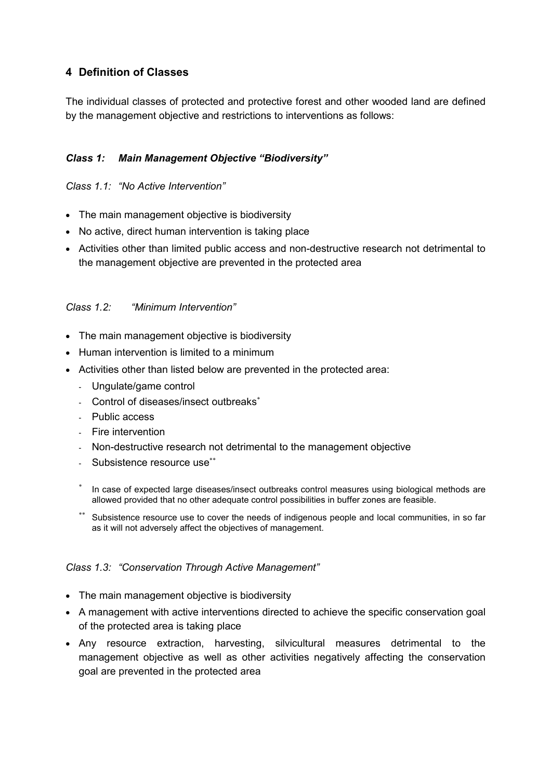# **4 Definition of Classes**

The individual classes of protected and protective forest and other wooded land are defined by the management objective and restrictions to interventions as follows:

### **Class 1: Main Management Objective "Biodiversity"**

#### *Class 1.1: "No Active Intervention"*

- The main management objective is biodiversity
- No active, direct human intervention is taking place
- Activities other than limited public access and non-destructive research not detrimental to the management objective are prevented in the protected area

### *Class 1.2: "Minimum Intervention"*

- The main management objective is biodiversity
- Human intervention is limited to a minimum
- Activities other than listed below are prevented in the protected area:
	- Ungulate/game control
	- Control of diseases/insect outbreaks
	- Public access
	- Fire intervention
	- Non-destructive research not detrimental to the management objective
	- Subsistence resource use\*\*
	- In case of expected large diseases/insect outbreaks control measures using biological methods are allowed provided that no other adequate control possibilities in buffer zones are feasible.
	- Subsistence resource use to cover the needs of indigenous people and local communities, in so far as it will not adversely affect the objectives of management.

#### Class 1.3: "Conservation Through Active Management"

- The main management objective is biodiversity
- A management with active interventions directed to achieve the specific conservation goal of the protected area is taking place
- Any resource extraction, harvesting, silvicultural measures detrimental to the management objective as well as other activities negatively affecting the conservation goal are prevented in the protected area